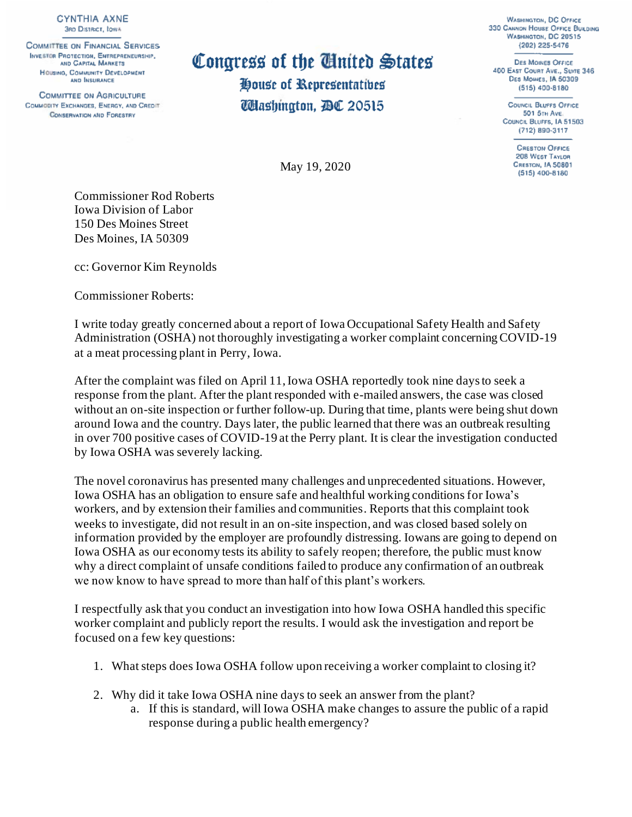**CYNTHIA AXNE 3RD DISTRICT, IOWA** 

**COMMITTEE ON FINANCIAL SERVICES INVESTOR PROTECTION, ENTREPRENEURSHIP,** AND GAPITAL MARKETS HOUSING, COMMUNITY DEVELOPMENT AND INSURANCE

**COMMITTEE ON AGRICULTURE** COMMODITY EXCHANGES, ENERGY, AND CREDIT **CONSERVATION AND FORESTRY** 

Congress of the Ginited States House of Representatibes **Washington,** *P***OC 20515** 

May 19, 2020

**WASHINGTON, DC OFFICE** 330 CANNON HOUSE OFFICE BUILDING WASHINGTON, DC 20515 (202) 225-5476

**DES MOINES OFFICE** 400 EAST COURT AVE., SUITE 346 DES MOINES, IA 50309 (515) 400-8180

> **COUNCIL BLUFFS OFFICE** 501 5TH AVE. COUNCIL BLUFFS, IA 51503 (712) 890-3117

> > **CRESTON OFFICE** 208 WEST TAYLOR **CRESTON, 1A 50801** (515) 400-8180

Commissioner Rod Roberts Iowa Division of Labor 150 Des Moines Street Des Moines, IA 50309

cc: Governor Kim Reynolds

Commissioner Roberts:

I write today greatly concerned about a report of Iowa Occupational Safety Health and Safety Administration (OSHA) not thoroughly investigating a worker complaint concerning COVID-19 at a meat processing plant in Perry, Iowa.

After the complaint was filed on April 11, Iowa OSHA reportedly took nine days to seek a response from the plant. After the plant responded with e-mailed answers, the case was closed without an on-site inspection or further follow-up. During that time, plants were being shut down around Iowa and the country. Days later, the public learned that there was an outbreak resulting in over 700 positive cases of COVID-19 at the Perry plant. It is clear the investigation conducted by Iowa OSHA was severely lacking.

The novel coronavirus has presented many challenges and unprecedented situations. However, Iowa OSHA has an obligation to ensure safe and healthful working conditions for Iowa's workers, and by extension their families and communities. Reports that this complaint took weeks to investigate, did not result in an on-site inspection, and was closed based solely on information provided by the employer are profoundly distressing. Iowans are going to depend on Iowa OSHA as our economy tests its ability to safely reopen; therefore, the public must know why a direct complaint of unsafe conditions failed to produce any confirmation of an outbreak we now know to have spread to more than half of this plant's workers.

I respectfully ask that you conduct an investigation into how Iowa OSHA handled this specific worker complaint and publicly report the results. I would ask the investigation and report be focused on a few key questions:

- 1. What steps does Iowa OSHA follow upon receiving a worker complaint to closing it?
- 2. Why did it take Iowa OSHA nine days to seek an answer from the plant?
	- a. If this is standard, will Iowa OSHA make changes to assure the public of a rapid response during a public health emergency?